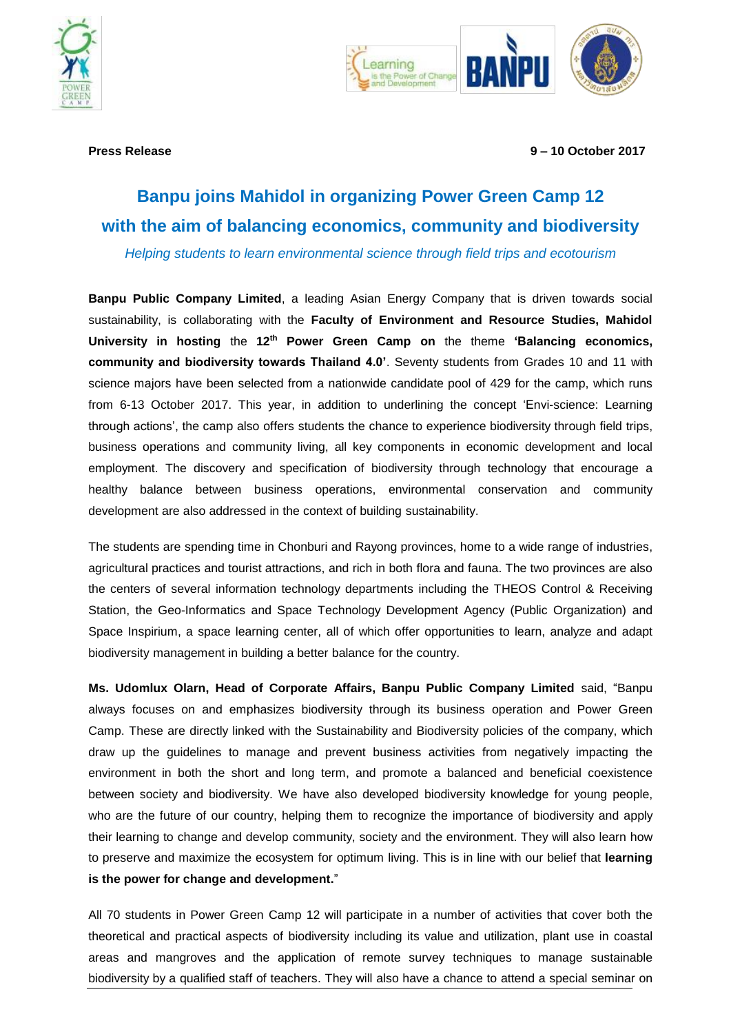



**Press Release 9 – 10 October 2017**

# **Banpu joins Mahidol in organizing Power Green Camp 12 with the aim of balancing economics, community and biodiversity**

*Helping students to learn environmental science through field trips and ecotourism*

**Banpu Public Company Limited**, a leading Asian Energy Company that is driven towards social sustainability, is collaborating with the **Faculty of Environment and Resource Studies, Mahidol University in hosting** the **12th Power Green Camp on** the theme **'Balancing economics, community and biodiversity towards Thailand 4.0'**. Seventy students from Grades 10 and 11 with science majors have been selected from a nationwide candidate pool of 429 for the camp, which runs from 6-13 October 2017. This year, in addition to underlining the concept 'Envi-science: Learning through actions', the camp also offers students the chance to experience biodiversity through field trips, business operations and community living, all key components in economic development and local employment. The discovery and specification of biodiversity through technology that encourage a healthy balance between business operations, environmental conservation and community development are also addressed in the context of building sustainability.

The students are spending time in Chonburi and Rayong provinces, home to a wide range of industries, agricultural practices and tourist attractions, and rich in both flora and fauna. The two provinces are also the centers of several information technology departments including the THEOS Control & Receiving Station, the Geo-Informatics and Space Technology Development Agency (Public Organization) and Space Inspirium, a space learning center, all of which offer opportunities to learn, analyze and adapt biodiversity management in building a better balance for the country.

**Ms. Udomlux Olarn, Head of Corporate Affairs, Banpu Public Company Limited** said, "Banpu always focuses on and emphasizes biodiversity through its business operation and Power Green Camp. These are directly linked with the Sustainability and Biodiversity policies of the company, which draw up the guidelines to manage and prevent business activities from negatively impacting the environment in both the short and long term, and promote a balanced and beneficial coexistence between society and biodiversity. We have also developed biodiversity knowledge for young people, who are the future of our country, helping them to recognize the importance of biodiversity and apply their learning to change and develop community, society and the environment. They will also learn how to preserve and maximize the ecosystem for optimum living. This is in line with our belief that **learning is the power for change and development.**"

All 70 students in Power Green Camp 12 will participate in a number of activities that cover both the theoretical and practical aspects of biodiversity including its value and utilization, plant use in coastal areas and mangroves and the application of remote survey techniques to manage sustainable biodiversity by a qualified staff of teachers. They will also have a chance to attend a special seminar on